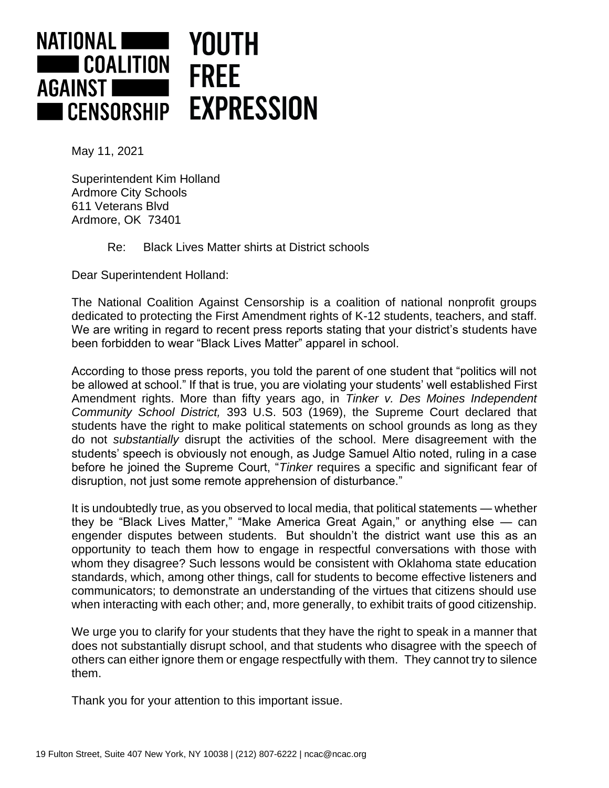

May 11, 2021

Superintendent Kim Holland Ardmore City Schools 611 Veterans Blvd Ardmore, OK 73401

Re: Black Lives Matter shirts at District schools

Dear Superintendent Holland:

The National Coalition Against Censorship is a coalition of national nonprofit groups dedicated to protecting the First Amendment rights of K-12 students, teachers, and staff. We are writing in regard to recent press reports stating that your district's students have been forbidden to wear "Black Lives Matter" apparel in school.

According to those press reports, you told the parent of one student that "politics will not be allowed at school." If that is true, you are violating your students' well established First Amendment rights. More than fifty years ago, in *Tinker v. Des Moines Independent Community School District,* 393 U.S. 503 (1969), the Supreme Court declared that students have the right to make political statements on school grounds as long as they do not *substantially* disrupt the activities of the school. Mere disagreement with the students' speech is obviously not enough, as Judge Samuel Altio noted, ruling in a case before he joined the Supreme Court, "*Tinker* requires a specific and significant fear of disruption, not just some remote apprehension of disturbance."

It is undoubtedly true, as you observed to local media, that political statements — whether they be "Black Lives Matter," "Make America Great Again," or anything else — can engender disputes between students. But shouldn't the district want use this as an opportunity to teach them how to engage in respectful conversations with those with whom they disagree? Such lessons would be consistent with Oklahoma state education standards, which, among other things, call for students to become effective listeners and communicators; to demonstrate an understanding of the virtues that citizens should use when interacting with each other; and, more generally, to exhibit traits of good citizenship.

We urge you to clarify for your students that they have the right to speak in a manner that does not substantially disrupt school, and that students who disagree with the speech of others can either ignore them or engage respectfully with them. They cannot try to silence them.

Thank you for your attention to this important issue.